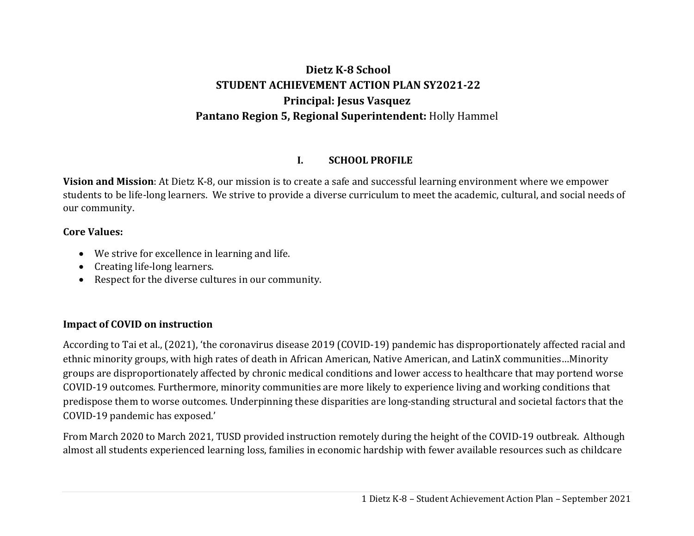# **DietzK‐8 School STUDENT ACHIEVEMENT ACTION PLAN SY2021‐22 Principal: Jesus Vasquez Pantano Region 5, Regional Superintendent:** Holly Hammel

#### **I.SCHOOL PROFILE**

**Vision and Mission**: At Dietz K-8, our mission is to create a safe and successful learning environment where we empower students to be life-long learners. We strive to provide a diverse curriculum to meet the academic, cultural, and social needs of our community.

### **Core Values:**

- We strive for excellence in learning and life.
- Creating life-long learners.
- Respect for the diverse cultures in our community.

### **Impact of COVID on instruction**

According to Tai et al., (2021), 'the coronavirus disease 2019 (COVID-19) pandemic has disproportionately affected racial and ethnic minority groups, with high rates of death in African American, Native American, and LatinX communities…Minority groups are disproportionately affected by chronic medical conditions and lower access to healthcare that may portend worse COVID-19 outcomes. Furthermore, minority communities are more likely to experience living and working conditions that predispose them to worse outcomes. Underpinning these disparities are long-standing structural and societal factors that the COVID-19 pandemic has exposed.'

From March 2020 to March 2021, TUSD provided instruction remotely during the height of the COVID-19 outbreak. Although almost all students experienced learning loss, families in economic hardship with fewer available resources such as childcare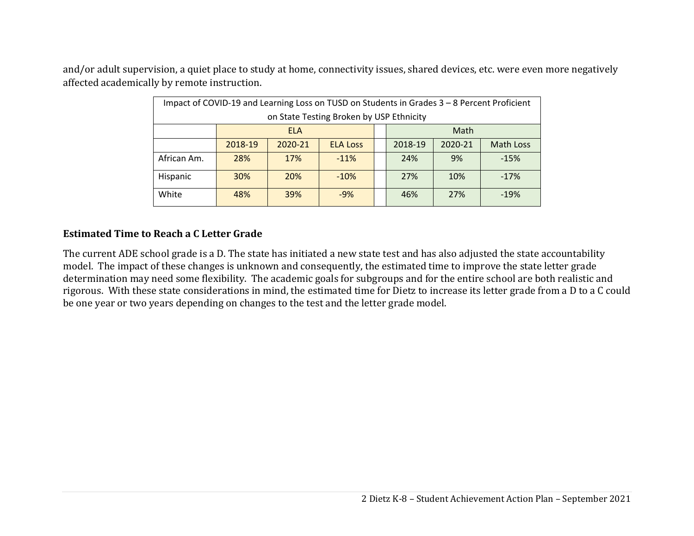and/or adult supervision, a quiet place to study at home, connectivity issues, shared devices, etc. were even more negatively affected academically by remote instruction.

| Impact of COVID-19 and Learning Loss on TUSD on Students in Grades 3 - 8 Percent Proficient |                                             |         |                 |  |         |         |                  |  |  |
|---------------------------------------------------------------------------------------------|---------------------------------------------|---------|-----------------|--|---------|---------|------------------|--|--|
| on State Testing Broken by USP Ethnicity                                                    |                                             |         |                 |  |         |         |                  |  |  |
|                                                                                             | Math<br><b>ELA</b>                          |         |                 |  |         |         |                  |  |  |
|                                                                                             | 2018-19                                     | 2020-21 | <b>ELA Loss</b> |  | 2018-19 | 2020-21 | <b>Math Loss</b> |  |  |
| African Am.                                                                                 | 28%                                         | 17%     | $-11%$          |  | 24%     | 9%      | $-15%$           |  |  |
| Hispanic                                                                                    | 30%                                         | 20%     | $-10%$          |  | 27%     | 10%     | $-17%$           |  |  |
| White                                                                                       | 27%<br>39%<br>48%<br>$-9%$<br>$-19%$<br>46% |         |                 |  |         |         |                  |  |  |

### **Estimated Time to Reach aC Letter Grade**

The current ADE school grade is a D. The state has initiated a new state test and has also adjusted the state accountability model. The impact of these changes is unknown and consequently, the estimated time to improve the state letter grade determination may need some flexibility. The academic goals for subgroups and for the entire school are both realistic and rigorous. With these state considerations in mind, the estimated time for Dietz to increase its letter grade from a D to a C could be one year or two years depending on changes to the test and the letter grade model.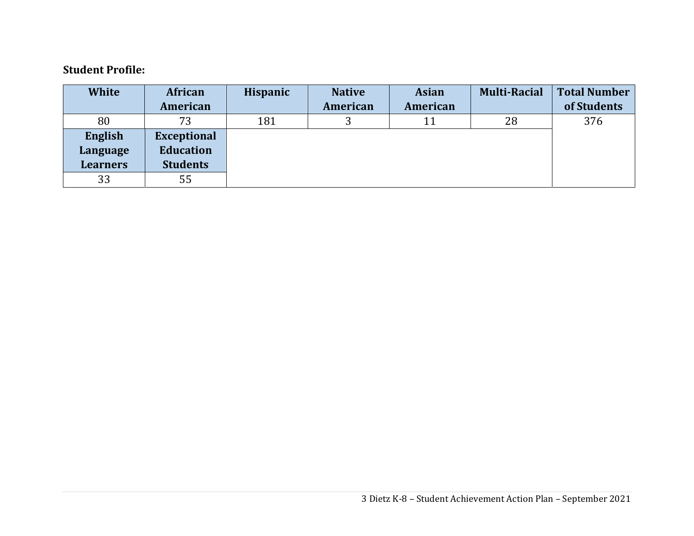### **Student Profile:**

| <b>White</b>    | African            | <b>Hispanic</b> | <b>Native</b> | <b>Asian</b> | <b>Multi-Racial</b> | <b>Total Number</b> |
|-----------------|--------------------|-----------------|---------------|--------------|---------------------|---------------------|
|                 | American           |                 | American      | American     |                     | of Students         |
| 80              | 73                 | 181             |               | 11           | 28                  | 376                 |
| English         | <b>Exceptional</b> |                 |               |              |                     |                     |
| Language        | <b>Education</b>   |                 |               |              |                     |                     |
| <b>Learners</b> | <b>Students</b>    |                 |               |              |                     |                     |
| 33              | 55                 |                 |               |              |                     |                     |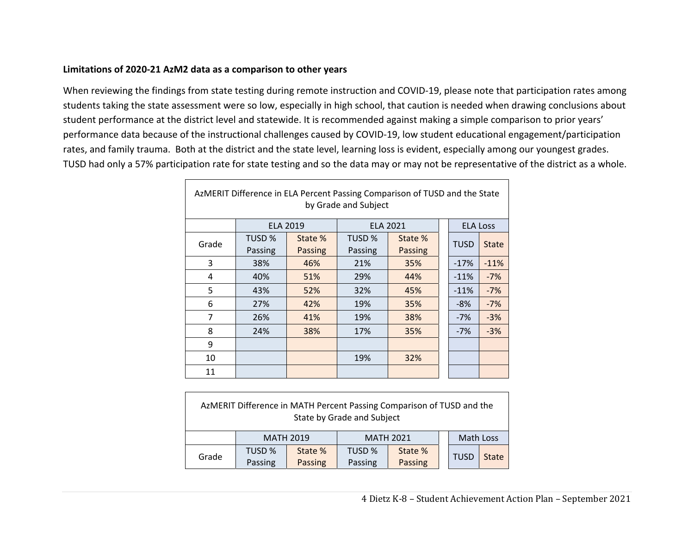#### **Limitations of 2020‐21 AzM2 data as a comparison to other years**

When reviewing the findings from state testing during remote instruction and COVID‐19, please note that participation rates among students taking the state assessment were so low, especially in high school, that caution is needed when drawing conclusions about student performance at the district level and statewide. It is recommended against making a simple comparison to prior years' performance data because of the instructional challenges caused by COVID‐19, low student educational engagement/participation rates, and family trauma. Both at the district and the state level, learning loss is evident, especially among our youngest grades. TUSD had only a 57% participation rate for state testing and so the data may or may not be representative of the district as a whole.

| AzMERIT Difference in ELA Percent Passing Comparison of TUSD and the State<br>by Grade and Subject |         |                 |         |                 |  |                 |              |  |
|----------------------------------------------------------------------------------------------------|---------|-----------------|---------|-----------------|--|-----------------|--------------|--|
|                                                                                                    |         | <b>ELA 2019</b> |         | <b>ELA 2021</b> |  | <b>ELA Loss</b> |              |  |
| Grade                                                                                              | TUSD %  | State %         | TUSD %  | State %         |  | <b>TUSD</b>     | <b>State</b> |  |
|                                                                                                    | Passing | Passing         | Passing | <b>Passing</b>  |  |                 |              |  |
| 3                                                                                                  | 38%     | 46%             | 21%     | 35%             |  | $-17%$          | $-11%$       |  |
| 4                                                                                                  | 40%     | 51%             | 29%     | 44%             |  | $-11%$          | $-7%$        |  |
| 5                                                                                                  | 43%     | 52%             | 32%     | 45%             |  | $-11%$          | $-7%$        |  |
| 6                                                                                                  | 27%     | 42%             | 19%     | 35%             |  | $-8%$           | $-7%$        |  |
| $\overline{7}$                                                                                     | 26%     | 41%             | 19%     | 38%             |  | $-7%$           | $-3%$        |  |
| 8                                                                                                  | 24%     | 38%             | 17%     | 35%             |  | $-7%$           | $-3%$        |  |
| 9                                                                                                  |         |                 |         |                 |  |                 |              |  |
| 10                                                                                                 |         |                 | 19%     | 32%             |  |                 |              |  |
| 11                                                                                                 |         |                 |         |                 |  |                 |              |  |

| AzMERIT Difference in MATH Percent Passing Comparison of TUSD and the<br>State by Grade and Subject |                  |         |         |                  |  |             |              |  |  |
|-----------------------------------------------------------------------------------------------------|------------------|---------|---------|------------------|--|-------------|--------------|--|--|
|                                                                                                     | <b>MATH 2019</b> |         |         | <b>MATH 2021</b> |  | Math Loss   |              |  |  |
| Grade                                                                                               | TUSD %           | State % | TUSD %  | State %          |  | <b>TUSD</b> | <b>State</b> |  |  |
|                                                                                                     | Passing          | Passing | Passing | Passing          |  |             |              |  |  |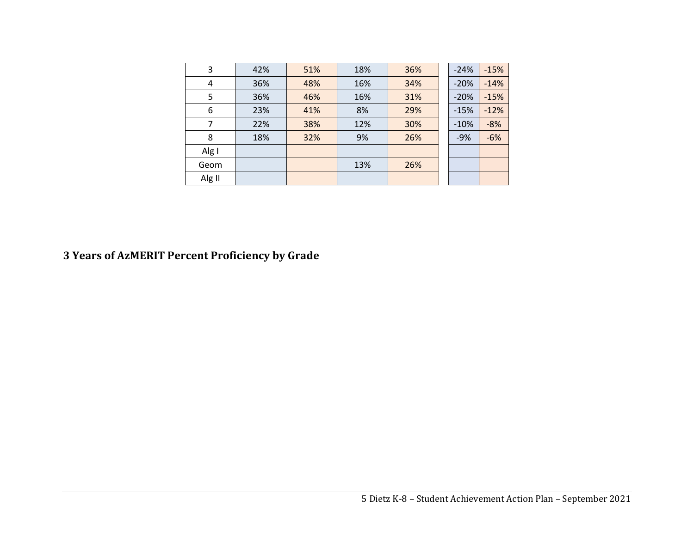| 3      | 42% | 51% | 18%        | 36% | $-24%$ | $-15%$ |
|--------|-----|-----|------------|-----|--------|--------|
| 4      | 36% | 48% | 16%        | 34% | $-20%$ | $-14%$ |
| 5      | 36% | 46% | 31%<br>16% |     | $-20%$ | $-15%$ |
| 6      | 23% | 41% | 8%<br>29%  |     | $-15%$ | $-12%$ |
| 7      | 22% | 38% | 12%        | 30% | $-10%$ | $-8%$  |
| 8      | 18% | 32% | 9%         | 26% | $-9%$  | $-6%$  |
| Alg I  |     |     |            |     |        |        |
| Geom   |     |     | 13%        | 26% |        |        |
| Alg II |     |     |            |     |        |        |

#### **3 Years of AzMERIT Percent Proficiency by Grade**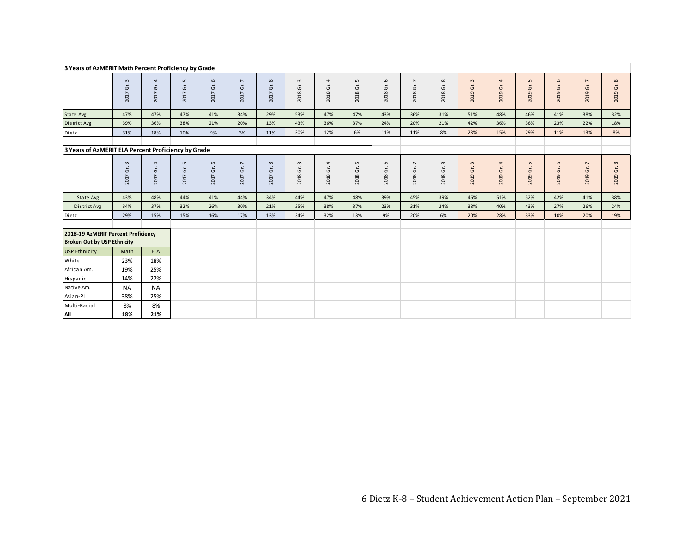|                                                                           | 3 Years of AzMERIT Math Percent Proficiency by Grade |                  |                                       |                                 |                                      |                      |                                             |                             |                                       |                              |                                         |                      |                         |                            |                                    |                                 |                                         |                                              |
|---------------------------------------------------------------------------|------------------------------------------------------|------------------|---------------------------------------|---------------------------------|--------------------------------------|----------------------|---------------------------------------------|-----------------------------|---------------------------------------|------------------------------|-----------------------------------------|----------------------|-------------------------|----------------------------|------------------------------------|---------------------------------|-----------------------------------------|----------------------------------------------|
|                                                                           | $\mathsf{m}$<br>2017 Gr.                             | 4<br>Ġr.<br>2017 | $\mathsf{L}\mathsf{D}$<br>Ġŕ.<br>2017 | $\circ$<br>Gr.<br>2017          | $\overline{\phantom{a}}$<br>2017 Gr. | $\infty$<br>2017 Gr. | $\mathsf m$<br>2018 Gr.                     | 4<br>Ġr.<br>2018            | LO.<br>$\tilde{\mathfrak{s}}$<br>2018 | 2018 Gr. 6                   | $\overline{\phantom{a}}$<br>Ġr.<br>2018 | $\infty$<br>2018 Gr. | 2019 Gr. 3              | 4<br>2019 Gr.              | 2019 Gr. 5                         | $\mathbf \omega$<br>2019 Gr.    | $\overline{\phantom{a}}$<br>Gr.<br>2019 | $\infty$<br>$\mathsf{G}^\mathsf{r}.$<br>2019 |
| State Avg                                                                 | 47%                                                  | 47%              | 47%                                   | 41%                             | 34%                                  | 29%                  | 53%                                         | 47%                         | 47%                                   | 43%                          | 36%                                     | 31%                  | 51%                     | 48%                        | 46%                                | 41%                             | 38%                                     | 32%                                          |
| District Avg                                                              | 39%                                                  | 36%              | 38%                                   | 21%                             | 20%                                  | 13%                  | 43%                                         | 36%                         | 37%                                   | 24%                          | 20%                                     | 21%                  | 42%                     | 36%                        | 36%                                | 23%                             | 22%                                     | 18%                                          |
| Dietz                                                                     | 31%                                                  | 18%              | 10%                                   | 9%                              | 3%                                   | 11%                  | 30%                                         | 12%                         | 6%                                    | 11%                          | 11%                                     | 8%                   | 28%                     | 15%                        | 29%                                | 11%                             | 13%                                     | 8%                                           |
|                                                                           |                                                      |                  |                                       |                                 |                                      |                      |                                             |                             |                                       |                              |                                         |                      |                         |                            |                                    |                                 |                                         |                                              |
| 3 Years of AzMERIT ELA Percent Proficiency by Grade                       |                                                      |                  |                                       |                                 |                                      |                      |                                             |                             |                                       |                              |                                         |                      |                         |                            |                                    |                                 |                                         |                                              |
|                                                                           | $\mathfrak{m}$<br>Ġr.<br>2017                        | 4<br>Ġ<br>2017   | $\mathsf{L}\mathsf{D}$<br>Ġŕ.<br>2017 | $\mathbf \omega$<br>Gr.<br>2017 | $\overline{\phantom{a}}$<br>2017 Gr. | $\infty$<br>2017 Gr. | $\mathsf m$<br>$\breve{\mathbb{G}}$<br>2018 | 4<br>$\overline{G}$<br>2018 | LO.<br>Ğ.<br>2018                     | $\mathbf \omega$<br>2018 Gr. | $\overline{\phantom{a}}$<br>Ġr.<br>2018 | $\infty$<br>2018 Gr. | $\mathsf m$<br>2019 Gr. | $\overline{4}$<br>2019 Gr. | $\mathsf{L}\mathsf{D}$<br>2019 Gr. | $\mathbf \omega$<br>Gr.<br>2019 | $\overline{\phantom{a}}$<br>Gr.<br>2019 | $\infty$<br>Ġr.<br>2019                      |
| State Avg                                                                 | 43%                                                  | 48%              | 44%                                   | 41%                             | 44%                                  | 34%                  | 44%                                         | 47%                         | 48%                                   | 39%                          | 45%                                     | 39%                  | 46%                     | 51%                        | 52%                                | 42%                             | 41%                                     | 38%                                          |
| District Avg                                                              | 34%                                                  | 37%              | 32%                                   | 26%                             | 30%                                  | 21%                  | 35%                                         | 38%                         | 37%                                   | 23%                          | 31%                                     | 24%                  | 38%                     | 40%                        | 43%                                | 27%                             | 26%                                     | 24%                                          |
| Dietz                                                                     | 29%                                                  | 15%              | 15%                                   | 16%                             | 17%                                  | 13%                  | 34%                                         | 32%                         | 13%                                   | 9%                           | 20%                                     | 6%                   | 20%                     | 28%                        | 33%                                | 10%                             | 20%                                     | 19%                                          |
| 2018-19 AzMERIT Percent Proficiency<br><b>Broken Out by USP Ethnicity</b> |                                                      |                  |                                       |                                 |                                      |                      |                                             |                             |                                       |                              |                                         |                      |                         |                            |                                    |                                 |                                         |                                              |
| <b>USP Ethnicity</b>                                                      | Math                                                 | <b>ELA</b>       |                                       |                                 |                                      |                      |                                             |                             |                                       |                              |                                         |                      |                         |                            |                                    |                                 |                                         |                                              |
| White                                                                     | 23%                                                  | 18%              |                                       |                                 |                                      |                      |                                             |                             |                                       |                              |                                         |                      |                         |                            |                                    |                                 |                                         |                                              |
| African Am.                                                               | 19%                                                  | 25%              |                                       |                                 |                                      |                      |                                             |                             |                                       |                              |                                         |                      |                         |                            |                                    |                                 |                                         |                                              |
| Hispanic                                                                  | 14%                                                  | 22%              |                                       |                                 |                                      |                      |                                             |                             |                                       |                              |                                         |                      |                         |                            |                                    |                                 |                                         |                                              |
| Native Am.                                                                | <b>NA</b>                                            | <b>NA</b>        |                                       |                                 |                                      |                      |                                             |                             |                                       |                              |                                         |                      |                         |                            |                                    |                                 |                                         |                                              |
| Asian-Pl                                                                  | 38%                                                  | 25%              |                                       |                                 |                                      |                      |                                             |                             |                                       |                              |                                         |                      |                         |                            |                                    |                                 |                                         |                                              |
| Multi-Racial                                                              | 8%                                                   | 8%               |                                       |                                 |                                      |                      |                                             |                             |                                       |                              |                                         |                      |                         |                            |                                    |                                 |                                         |                                              |
| All                                                                       | 18%                                                  | 21%              |                                       |                                 |                                      |                      |                                             |                             |                                       |                              |                                         |                      |                         |                            |                                    |                                 |                                         |                                              |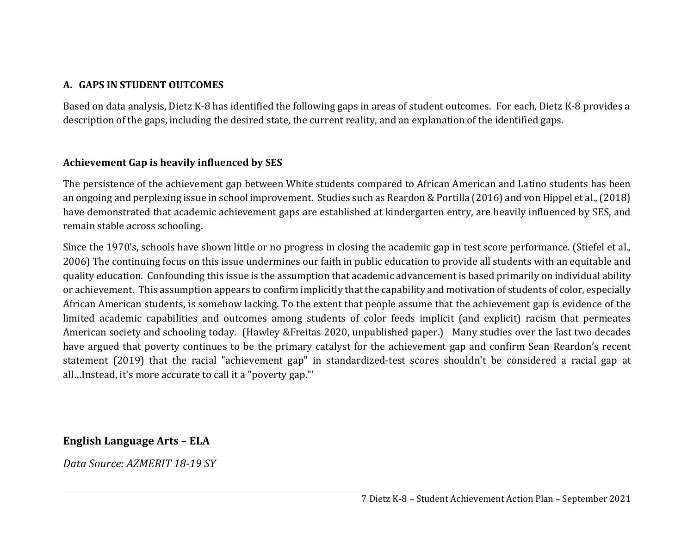#### **A. GAPS IN STUDENT OUTCOMES**

Based on data analysis, Dietz K-8 has identified the following gaps in areas of student outcomes. For each, Dietz K-8 provides a description of the gaps, including the desired state, the current reality, and an explanation of the identified gaps.

#### **Achievement Gap is heavily influenced by SES**

The persistence of the achievement gap between White students compared to African American and Latino students has been an ongoing and perplexing issue in school improvement. Studies such as Reardon & Portilla (2016) and von Hippel et al., (2018) have demonstrated that academic achievement gaps are established at kindergarten entry, are heavily influenced by SES, and remain stable across schooling.

Since the 1970's, schools have shown little or no progress in closing the academic gap in test score performance. (Stiefel et al., 2006) The continuing focus on this issue undermines our faith in public education to provide all students with an equitable and quality education. Confounding this issue is the assumption that academic advancement is based primarily on individual ability or achievement. This assumption appears to confirm implicitly that the capability and motivation of students of color, especially African American students, is somehow lacking. To the extent that people assume that the achievement gap is evidence of the limited academic capabilities and outcomes among students of color feeds implicit (and explicit) racism that permeates American society and schooling today. (Hawley &Freitas 2020, unpublished paper.) Many studies over the last two decades have argued that poverty continues to be the primary catalyst for the achievement gap and confirm Sean Reardon's recent statement (2019) that the racial "achievement gap" in standardized-test scores shouldn't be considered a racial gap at all…Instead, it's more accurate to call it a "poverty gap."'

### **English Language Arts – ELA**

*Data Source: AZMERIT 18‐19 SY*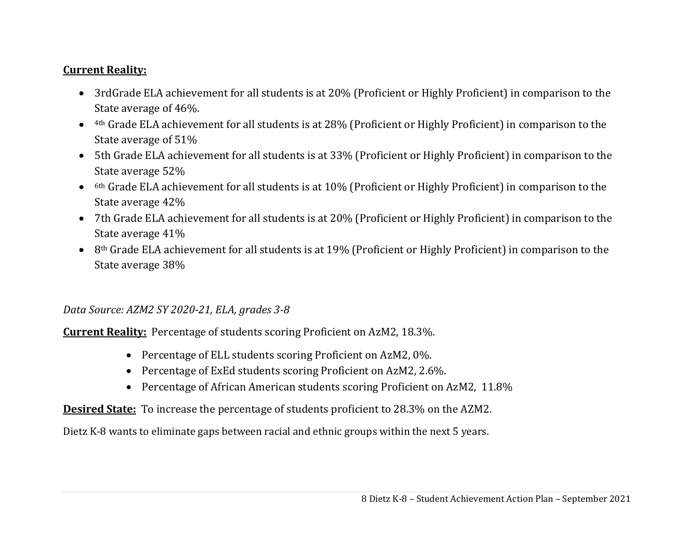### **Current Reality:**

- 3rdGrade ELA achievement for all students is at 20% (Proficient or Highly Proficient) in comparison to the State average of 46%.
- 4th Grade ELA achievement for all students is at 28% (Proficient or Highly Proficient) in comparison to the State average of 51%
- 5th Grade ELA achievement for all students is at 33% (Proficient or Highly Proficient) in comparison to the State average 52%
- $\bullet$  6th Grade ELA achievement for all students is at 10% (Proficient or Highly Proficient) in comparison to the State average 42%
- 7th Grade ELA achievement for all students is at 20% (Proficient or Highly Proficient) in comparison to the State average 41%
- $\bullet$  8<sup>th</sup> Grade ELA achievement for all students is at 19% (Proficient or Highly Proficient) in comparison to the State average 38%

# *Data Source: AZM2 SY 2020‐21, ELA, grades 3‐8*

**Current Reality:** Percentage of students scoring Proficient on AzM2, 18.3%.

- Percentage of ELL students scoring Proficient on AzM2, 0%.
- Percentage of ExEd students scoring Proficient on AzM2, 2.6%.
- Percentage of African American students scoring Proficient on AzM2, 11.8%

# **Desired State:** To increase the percentage of students proficient to 28.3% on the AZM2.

Dietz K-8 wants to eliminate gaps between racial and ethnic groups within the next 5 years.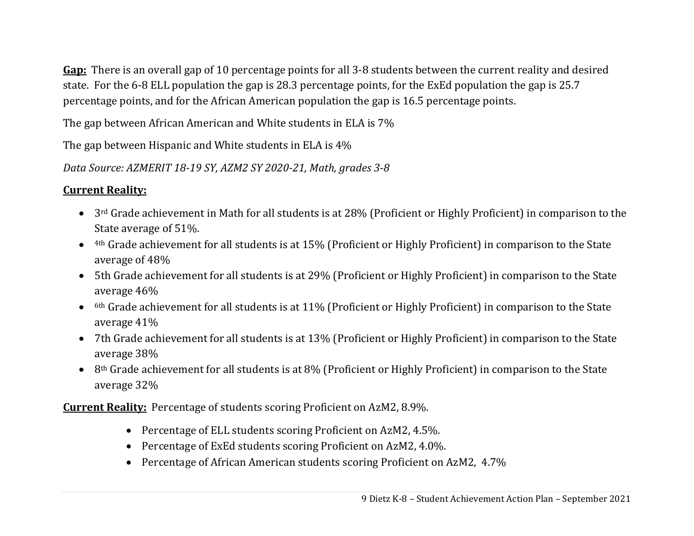**Gap:** There is an overall gap of 10 percentage points for all 3-8 students between the current reality and desired state. For the 6-8 ELL population the gap is 28.3 percentage points, for the ExEd population the gap is 25.7 percentage points, and for the African American population the gap is 16.5 percentage points.

The gap between African American and White students in ELA is 7%

The gap between Hispanic and White students in ELA is 4%

*Data Source: AZMERIT 18‐19 SY, AZM2 SY 2020‐21, Math, grades 3‐8*

# **Current Reality:**

- 3<sup>rd</sup> Grade achievement in Math for all students is at 28% (Proficient or Highly Proficient) in comparison to the State average of 51%.
- 4th Grade achievement for all students is at 15% (Proficient or Highly Proficient) in comparison to the State average of 48%
- 5th Grade achievement for all students is at 29% (Proficient or Highly Proficient) in comparison to the State average 46%
- $\bullet$  6th Grade achievement for all students is at 11% (Proficient or Highly Proficient) in comparison to the State average 41%
- 7th Grade achievement for all students is at 13% (Proficient or Highly Proficient) in comparison to the State average 38%
- 8<sup>th</sup> Grade achievement for all students is at 8% (Proficient or Highly Proficient) in comparison to the State average 32%

**Current Reality:** Percentage of students scoring Proficient on AzM2, 8.9%.

- Percentage of ELL students scoring Proficient on AzM2, 4.5%.
- Percentage of ExEd students scoring Proficient on AzM2, 4.0%.
- Percentage of African American students scoring Proficient on AzM2, 4.7%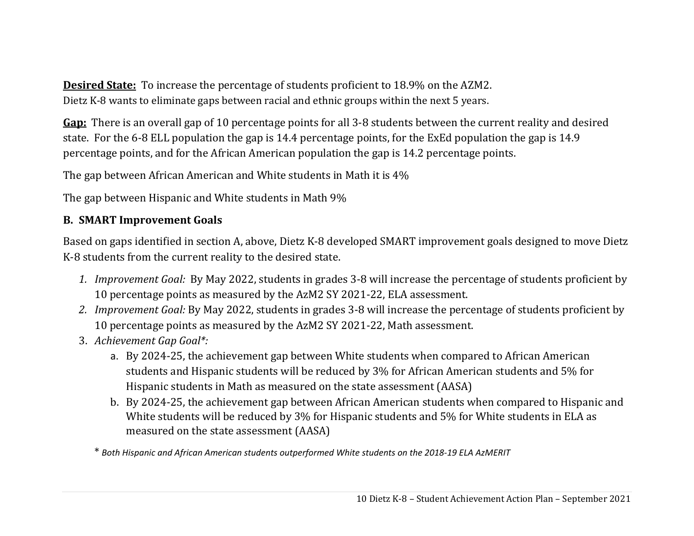**Desired State:** To increase the percentage of students proficient to 18.9% on the AZM2. Dietz K-8 wants to eliminate gaps between racial and ethnic groups within the next 5 years.

**Gap:** There is an overall gap of 10 percentage points for all 3-8 students between the current reality and desired state. For the 6-8 ELL population the gap is 14.4 percentage points, for the ExEd population the gap is 14.9 percentage points, and for the African American population the gap is 14.2 percentage points.

The gap between African American and White students in Math it is 4%

The gap between Hispanic and White students in Math 9%

## **B. SMART Improvement Goals**

Based on gaps identified in section A, above, Dietz K-8 developed SMART improvement goals designed to move Dietz K-8 students from the current reality to the desired state.

- *1. Improvement Goal:* By May 2022, students in grades 3-8 will increase the percentage of students proficient by 10 percentage points as measured by the AzM2 SY 2021-22, ELA assessment.
- *2. Improvement Goal:* By May 2022, students in grades 3-8 will increase the percentage of students proficient by 10 percentage points as measured by the AzM2 SY 2021-22, Math assessment.
- 3. *Achievement Gap Goal\*:*
	- a. By 2024-25, the achievement gap between White students when compared to African American students and Hispanic students will be reduced by 3% for African American students and 5% for Hispanic students in Math as measured on the state assessment (AASA)
	- b. By 2024-25, the achievement gap between African American students when compared to Hispanic and White students will be reduced by 3% for Hispanic students and 5% for White students in ELA as measured on the state assessment (AASA)

\* *Both Hispanic and African American students outperformed White students on the 2018‐19 ELA AzMERIT*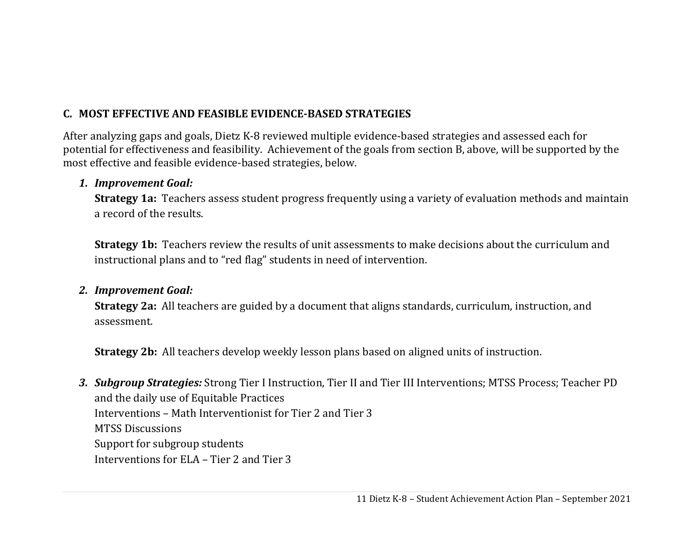# **C. MOST EFFECTIVE AND FEASIBLE EVIDENCE‐BASED STRATEGIES**

After analyzing gaps and goals, Dietz K-8 reviewed multiple evidence-based strategies and assessed each for potential for effectiveness and feasibility. Achievement of the goals from section B, above, will be supported by the most effective and feasible evidence-based strategies, below.

### *1. Improvement Goal:*

**Strategy 1a:** Teachers assess student progress frequently using a variety of evaluation methods and maintain a record of the results.

**Strategy 1b:** Teachers review the results of unit assessments to make decisions about the curriculum and instructional plans and to "red flag" students in need of intervention.

### *2. Improvement Goal:*

**Strategy 2a:** All teachers are guided by a document that aligns standards, curriculum, instruction, and assessment.

**Strategy 2b:** All teachers develop weekly lesson plans based on aligned units of instruction.

*3. Subgroup Strategies:* Strong Tier I Instruction, Tier II and Tier III Interventions; MTSS Process; Teacher PD and the daily use of Equitable Practices Interventions – Math Interventionist for Tier 2 and Tier 3 MTSS Discussions Support for subgroup students Interventions for ELA – Tier 2 and Tier 3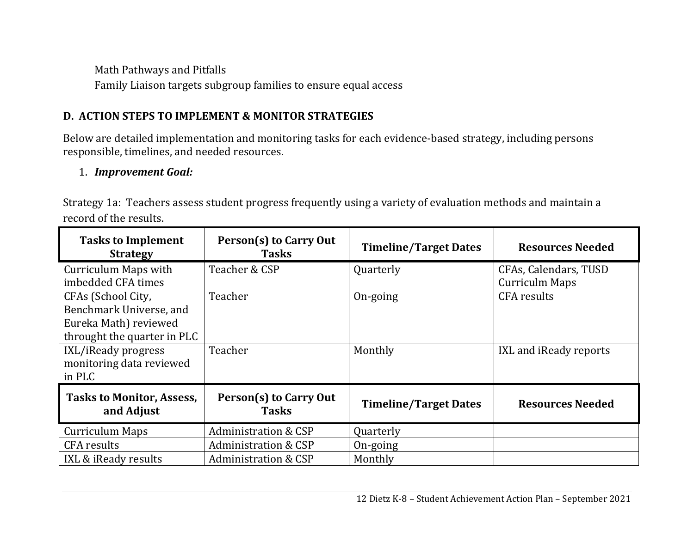Math Pathways and Pitfalls Family Liaison targets subgroup families to ensure equal access

# **D. ACTION STEPS TO IMPLEMENT & MONITOR STRATEGIES**

Below are detailed implementation and monitoring tasks for each evidence-based strategy, including persons responsible, timelines, and needed resources.

# 1. *Improvement Goal:*

Strategy 1a: Teachers assess student progress frequently using a variety of evaluation methods and maintain a record of the results.

| <b>Tasks to Implement</b><br><b>Strategy</b>   | Person(s) to Carry Out<br><b>Tasks</b> | <b>Timeline/Target Dates</b> | <b>Resources Needed</b> |
|------------------------------------------------|----------------------------------------|------------------------------|-------------------------|
| Curriculum Maps with                           | Teacher & CSP                          | Quarterly                    | CFAs, Calendars, TUSD   |
| imbedded CFA times                             |                                        |                              | <b>Curriculm Maps</b>   |
| CFAs (School City,                             | Teacher                                | On-going                     | <b>CFA</b> results      |
| Benchmark Universe, and                        |                                        |                              |                         |
| Eureka Math) reviewed                          |                                        |                              |                         |
| throught the quarter in PLC                    |                                        |                              |                         |
| IXL/iReady progress                            | Teacher                                | Monthly                      | IXL and iReady reports  |
| monitoring data reviewed                       |                                        |                              |                         |
| in PLC                                         |                                        |                              |                         |
| <b>Tasks to Monitor, Assess,</b><br>and Adjust | Person(s) to Carry Out<br><b>Tasks</b> | <b>Timeline/Target Dates</b> | <b>Resources Needed</b> |
| <b>Curriculum Maps</b>                         | Administration & CSP                   | Quarterly                    |                         |
| <b>CFA</b> results                             | <b>Administration &amp; CSP</b>        | On-going                     |                         |
| IXL & iReady results                           | <b>Administration &amp; CSP</b>        | Monthly                      |                         |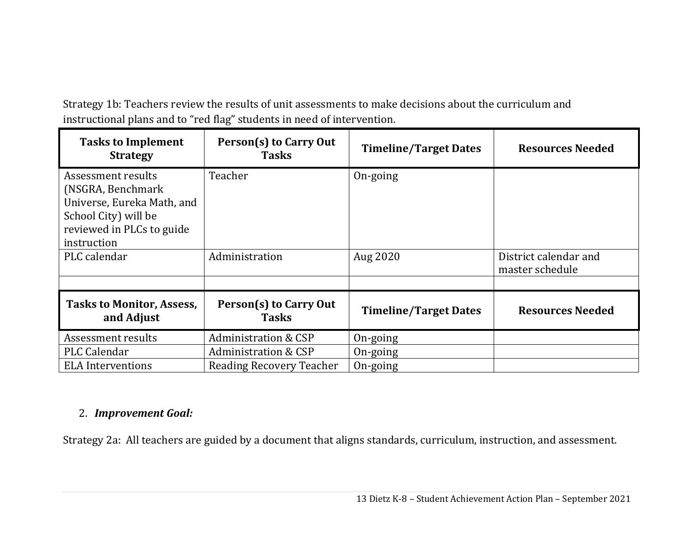Strategy 1b: Teachers review the results of unit assessments to make decisions about the curriculum and instructional plans and to "red flag" students in need of intervention.

| <b>Tasks to Implement</b><br><b>Strategy</b>                                                                                              | Person(s) to Carry Out<br><b>Tasks</b> | <b>Timeline/Target Dates</b> | <b>Resources Needed</b>                  |
|-------------------------------------------------------------------------------------------------------------------------------------------|----------------------------------------|------------------------------|------------------------------------------|
| Assessment results<br>(NSGRA, Benchmark<br>Universe, Eureka Math, and<br>School City) will be<br>reviewed in PLCs to guide<br>instruction | Teacher                                | On-going                     |                                          |
| PLC calendar                                                                                                                              | Administration                         | Aug 2020                     | District calendar and<br>master schedule |
|                                                                                                                                           |                                        |                              |                                          |
| <b>Tasks to Monitor, Assess,</b><br>and Adjust                                                                                            | Person(s) to Carry Out<br><b>Tasks</b> | <b>Timeline/Target Dates</b> | <b>Resources Needed</b>                  |
| Assessment results                                                                                                                        | <b>Administration &amp; CSP</b>        | On-going                     |                                          |
| PLC Calendar                                                                                                                              | Administration & CSP                   | On-going                     |                                          |
| <b>ELA</b> Interventions                                                                                                                  | Reading Recovery Teacher               | On-going                     |                                          |

### 2. *Improvement Goal:*

Strategy 2a: All teachers are guided by a document that aligns standards, curriculum, instruction, and assessment.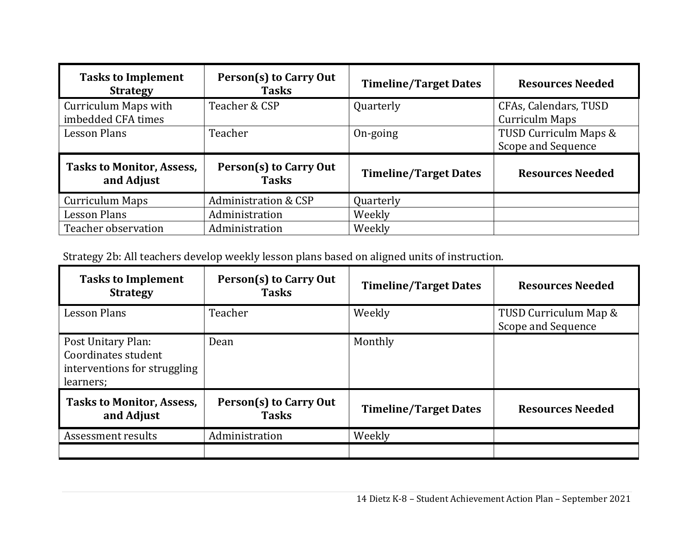| <b>Tasks to Implement</b><br><b>Strategy</b>      | Person(s) to Carry Out<br><b>Tasks</b> | <b>Timeline/Target Dates</b> | <b>Resources Needed</b>                        |
|---------------------------------------------------|----------------------------------------|------------------------------|------------------------------------------------|
| <b>Curriculum Maps with</b><br>imbedded CFA times | Teacher & CSP                          | Quarterly                    | CFAs, Calendars, TUSD<br><b>Curriculm Maps</b> |
| <b>Lesson Plans</b>                               | Teacher                                | On-going                     | TUSD Curriculm Maps &<br>Scope and Sequence    |
| <b>Tasks to Monitor, Assess,</b><br>and Adjust    | Person(s) to Carry Out<br><b>Tasks</b> | <b>Timeline/Target Dates</b> | <b>Resources Needed</b>                        |
| <b>Curriculum Maps</b>                            | <b>Administration &amp; CSP</b>        | Quarterly                    |                                                |
| <b>Lesson Plans</b>                               | Administration                         | Weekly                       |                                                |
| Teacher observation                               | Administration                         | Weekly                       |                                                |

Strategy 2b: All teachers develop weekly lesson plans based on aligned units of instruction.

| <b>Tasks to Implement</b><br><b>Strategy</b>                                           | Person(s) to Carry Out<br><b>Tasks</b> | <b>Timeline/Target Dates</b> | <b>Resources Needed</b>                     |
|----------------------------------------------------------------------------------------|----------------------------------------|------------------------------|---------------------------------------------|
| <b>Lesson Plans</b>                                                                    | Teacher                                | Weekly                       | TUSD Curriculum Map &<br>Scope and Sequence |
| Post Unitary Plan:<br>Coordinates student<br>interventions for struggling<br>learners; | Dean                                   | Monthly                      |                                             |
| <b>Tasks to Monitor, Assess,</b><br>and Adjust                                         | Person(s) to Carry Out<br><b>Tasks</b> | <b>Timeline/Target Dates</b> | <b>Resources Needed</b>                     |
| Assessment results                                                                     | Administration                         | Weekly                       |                                             |
|                                                                                        |                                        |                              |                                             |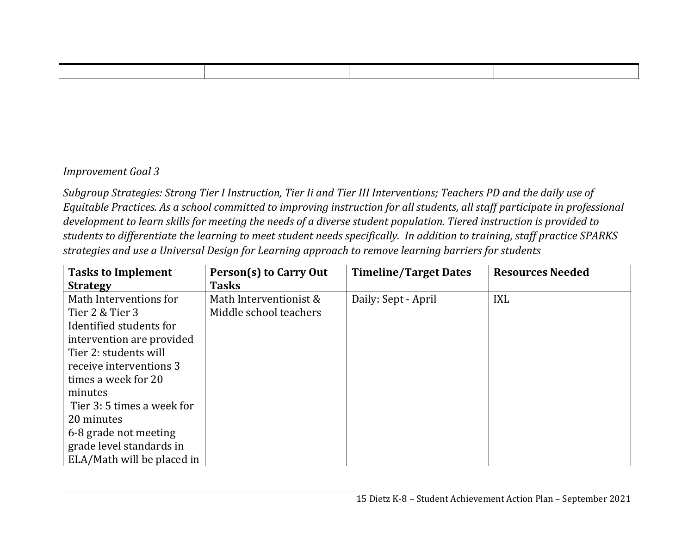### *Improvement Goal 3*

Subgroup Strategies: Strong Tier I Instruction, Tier Ii and Tier III Interventions; Teachers PD and the daily use of Equitable Practices. As a school committed to improving instruction for all students, all staff participate in professional development to learn skills for meeting the needs of a diverse student population. Tiered instruction is provided to students to differentiate the learning to meet student needs specifically. In addition to training, staff practice SPARKS *strategies and use <sup>a</sup> Universal Design for Learning approach to remove learning barriers for students*

| <b>Tasks to Implement</b>  | Person(s) to Carry Out | <b>Timeline/Target Dates</b> | <b>Resources Needed</b> |  |  |
|----------------------------|------------------------|------------------------------|-------------------------|--|--|
| <b>Strategy</b>            | <b>Tasks</b>           |                              |                         |  |  |
| Math Interventions for     | Math Interventionist & | Daily: Sept - April          | <b>IXL</b>              |  |  |
| Tier 2 & Tier 3            | Middle school teachers |                              |                         |  |  |
| Identified students for    |                        |                              |                         |  |  |
| intervention are provided  |                        |                              |                         |  |  |
| Tier 2: students will      |                        |                              |                         |  |  |
| receive interventions 3    |                        |                              |                         |  |  |
| times a week for 20        |                        |                              |                         |  |  |
| minutes                    |                        |                              |                         |  |  |
| Tier 3: 5 times a week for |                        |                              |                         |  |  |
| 20 minutes                 |                        |                              |                         |  |  |
| 6-8 grade not meeting      |                        |                              |                         |  |  |
| grade level standards in   |                        |                              |                         |  |  |
| ELA/Math will be placed in |                        |                              |                         |  |  |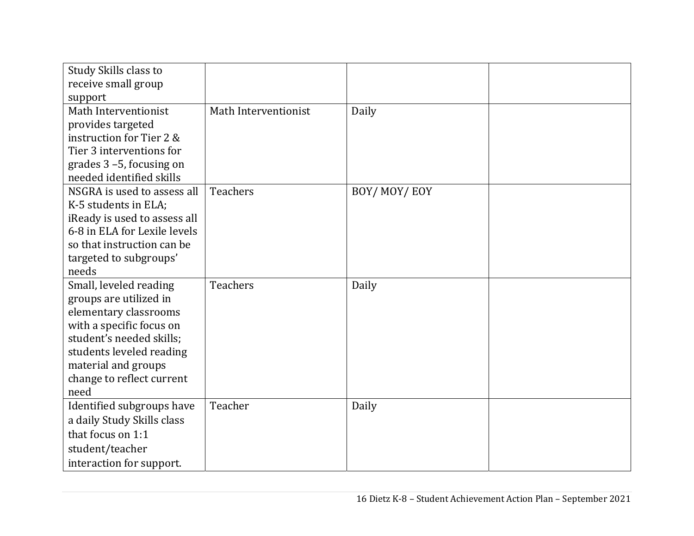| Study Skills class to                            |                      |             |  |
|--------------------------------------------------|----------------------|-------------|--|
| receive small group                              |                      |             |  |
| support                                          |                      |             |  |
| Math Interventionist                             | Math Interventionist | Daily       |  |
| provides targeted                                |                      |             |  |
| instruction for Tier 2 &                         |                      |             |  |
| Tier 3 interventions for                         |                      |             |  |
| grades $3 - 5$ , focusing on                     |                      |             |  |
| needed identified skills                         |                      |             |  |
| NSGRA is used to assess all                      | <b>Teachers</b>      | BOY/MOY/EOY |  |
| K-5 students in ELA;                             |                      |             |  |
| iReady is used to assess all                     |                      |             |  |
| 6-8 in ELA for Lexile levels                     |                      |             |  |
| so that instruction can be                       |                      |             |  |
| targeted to subgroups'                           |                      |             |  |
| needs                                            |                      |             |  |
| Small, leveled reading                           | <b>Teachers</b>      | Daily       |  |
| groups are utilized in                           |                      |             |  |
| elementary classrooms                            |                      |             |  |
| with a specific focus on                         |                      |             |  |
| student's needed skills;                         |                      |             |  |
| students leveled reading                         |                      |             |  |
| material and groups<br>change to reflect current |                      |             |  |
| need                                             |                      |             |  |
| Identified subgroups have                        | Teacher              | Daily       |  |
| a daily Study Skills class                       |                      |             |  |
| that focus on 1:1                                |                      |             |  |
|                                                  |                      |             |  |
| student/teacher                                  |                      |             |  |
| interaction for support.                         |                      |             |  |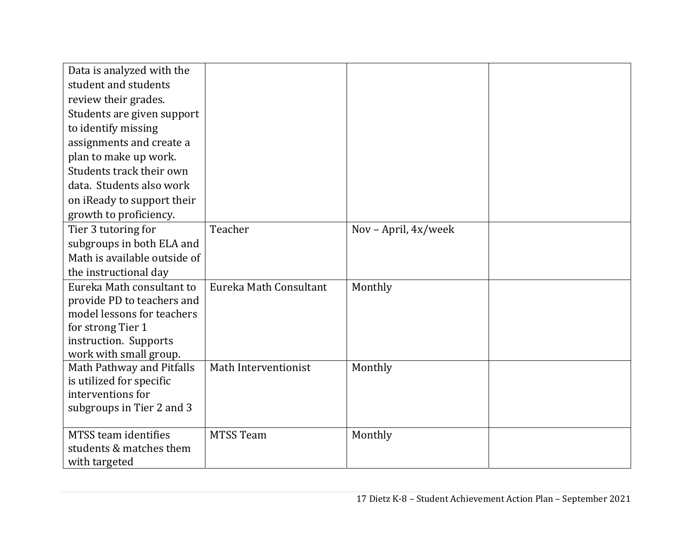| Data is analyzed with the<br>student and students<br>review their grades.<br>Students are given support<br>to identify missing<br>assignments and create a |                        |                      |  |
|------------------------------------------------------------------------------------------------------------------------------------------------------------|------------------------|----------------------|--|
| plan to make up work.<br>Students track their own                                                                                                          |                        |                      |  |
| data. Students also work                                                                                                                                   |                        |                      |  |
| on iReady to support their                                                                                                                                 |                        |                      |  |
| growth to proficiency.                                                                                                                                     |                        |                      |  |
| Tier 3 tutoring for                                                                                                                                        | Teacher                | Nov - April, 4x/week |  |
| subgroups in both ELA and                                                                                                                                  |                        |                      |  |
| Math is available outside of                                                                                                                               |                        |                      |  |
| the instructional day                                                                                                                                      |                        |                      |  |
| Eureka Math consultant to                                                                                                                                  | Eureka Math Consultant | Monthly              |  |
| provide PD to teachers and<br>model lessons for teachers                                                                                                   |                        |                      |  |
| for strong Tier 1                                                                                                                                          |                        |                      |  |
| instruction. Supports                                                                                                                                      |                        |                      |  |
| work with small group.                                                                                                                                     |                        |                      |  |
| Math Pathway and Pitfalls                                                                                                                                  | Math Interventionist   | Monthly              |  |
| is utilized for specific                                                                                                                                   |                        |                      |  |
| interventions for                                                                                                                                          |                        |                      |  |
| subgroups in Tier 2 and 3                                                                                                                                  |                        |                      |  |
| MTSS team identifies                                                                                                                                       | <b>MTSS Team</b>       | Monthly              |  |
| students & matches them                                                                                                                                    |                        |                      |  |
| with targeted                                                                                                                                              |                        |                      |  |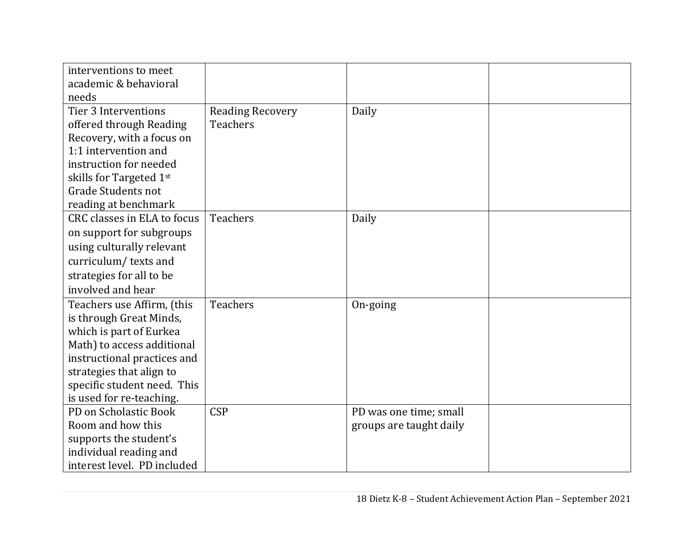| interventions to meet                                 |                                            |                         |  |
|-------------------------------------------------------|--------------------------------------------|-------------------------|--|
| academic & behavioral<br>needs                        |                                            |                         |  |
| Tier 3 Interventions<br>offered through Reading       | <b>Reading Recovery</b><br><b>Teachers</b> | Daily                   |  |
| Recovery, with a focus on                             |                                            |                         |  |
| 1:1 intervention and                                  |                                            |                         |  |
| instruction for needed<br>skills for Targeted 1st     |                                            |                         |  |
| <b>Grade Students not</b>                             |                                            |                         |  |
| reading at benchmark                                  |                                            |                         |  |
| CRC classes in ELA to focus                           | <b>Teachers</b>                            | Daily                   |  |
| on support for subgroups                              |                                            |                         |  |
| using culturally relevant                             |                                            |                         |  |
| curriculum/texts and                                  |                                            |                         |  |
| strategies for all to be                              |                                            |                         |  |
| involved and hear                                     |                                            |                         |  |
| Teachers use Affirm, (this                            | <b>Teachers</b>                            | On-going                |  |
| is through Great Minds,                               |                                            |                         |  |
| which is part of Eurkea<br>Math) to access additional |                                            |                         |  |
| instructional practices and                           |                                            |                         |  |
| strategies that align to                              |                                            |                         |  |
| specific student need. This                           |                                            |                         |  |
| is used for re-teaching.                              |                                            |                         |  |
| PD on Scholastic Book                                 | <b>CSP</b>                                 | PD was one time; small  |  |
| Room and how this                                     |                                            | groups are taught daily |  |
| supports the student's                                |                                            |                         |  |
| individual reading and                                |                                            |                         |  |
| interest level. PD included                           |                                            |                         |  |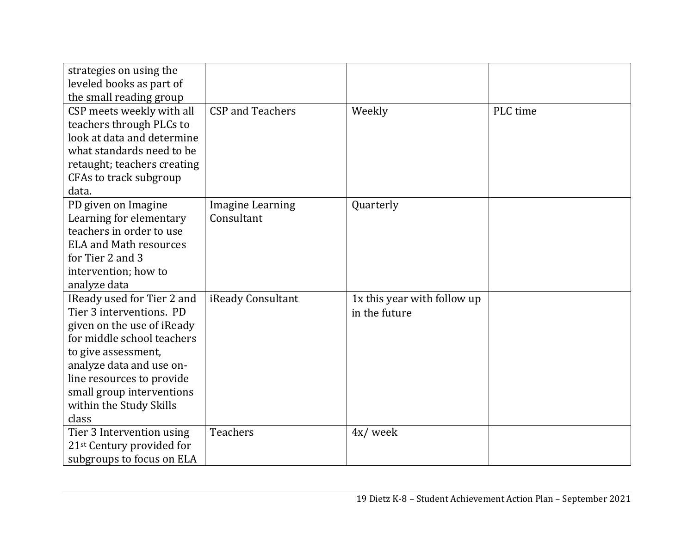| strategies on using the<br>leveled books as part of<br>the small reading group                                                                                                                                                                                      |                                       |                                              |          |
|---------------------------------------------------------------------------------------------------------------------------------------------------------------------------------------------------------------------------------------------------------------------|---------------------------------------|----------------------------------------------|----------|
| CSP meets weekly with all<br>teachers through PLCs to<br>look at data and determine<br>what standards need to be<br>retaught; teachers creating<br>CFAs to track subgroup                                                                                           | <b>CSP</b> and Teachers               | Weekly                                       | PLC time |
| data.<br>PD given on Imagine<br>Learning for elementary<br>teachers in order to use<br><b>ELA and Math resources</b><br>for Tier 2 and 3<br>intervention; how to<br>analyze data                                                                                    | <b>Imagine Learning</b><br>Consultant | Quarterly                                    |          |
| IReady used for Tier 2 and<br>Tier 3 interventions. PD<br>given on the use of iReady<br>for middle school teachers<br>to give assessment,<br>analyze data and use on-<br>line resources to provide<br>small group interventions<br>within the Study Skills<br>class | iReady Consultant                     | 1x this year with follow up<br>in the future |          |
| Tier 3 Intervention using<br>21 <sup>st</sup> Century provided for<br>subgroups to focus on ELA                                                                                                                                                                     | <b>Teachers</b>                       | 4x/week                                      |          |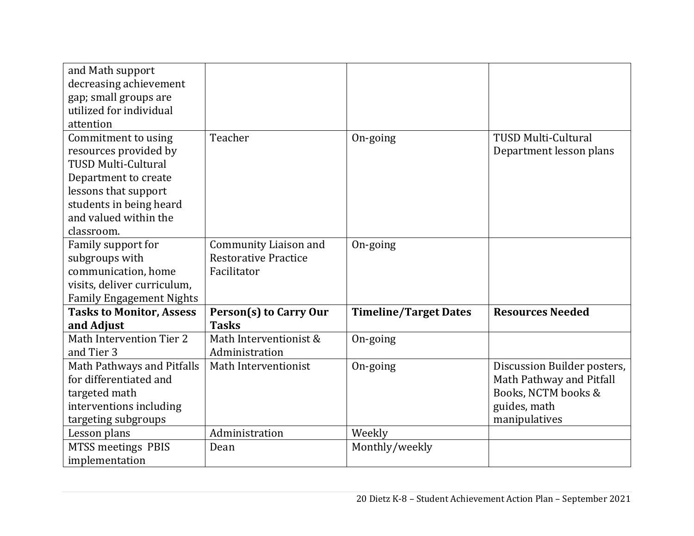| and Math support<br>decreasing achievement<br>gap; small groups are                                                                                                                          |                                                                            |                              |                                                                                                                 |
|----------------------------------------------------------------------------------------------------------------------------------------------------------------------------------------------|----------------------------------------------------------------------------|------------------------------|-----------------------------------------------------------------------------------------------------------------|
| utilized for individual<br>attention                                                                                                                                                         |                                                                            |                              |                                                                                                                 |
| Commitment to using<br>resources provided by<br><b>TUSD Multi-Cultural</b><br>Department to create<br>lessons that support<br>students in being heard<br>and valued within the<br>classroom. | Teacher                                                                    | On-going                     | <b>TUSD Multi-Cultural</b><br>Department lesson plans                                                           |
| Family support for<br>subgroups with<br>communication, home<br>visits, deliver curriculum,<br><b>Family Engagement Nights</b>                                                                | <b>Community Liaison and</b><br><b>Restorative Practice</b><br>Facilitator | On-going                     |                                                                                                                 |
| <b>Tasks to Monitor, Assess</b><br>and Adjust                                                                                                                                                | <b>Person(s) to Carry Our</b><br><b>Tasks</b>                              | <b>Timeline/Target Dates</b> | <b>Resources Needed</b>                                                                                         |
| Math Intervention Tier 2<br>and Tier 3                                                                                                                                                       | Math Interventionist &<br>Administration                                   | On-going                     |                                                                                                                 |
| Math Pathways and Pitfalls<br>for differentiated and<br>targeted math<br>interventions including<br>targeting subgroups                                                                      | Math Interventionist                                                       | On-going                     | Discussion Builder posters,<br>Math Pathway and Pitfall<br>Books, NCTM books &<br>guides, math<br>manipulatives |
| Lesson plans<br><b>MTSS meetings PBIS</b><br>implementation                                                                                                                                  | Administration<br>Dean                                                     | Weekly<br>Monthly/weekly     |                                                                                                                 |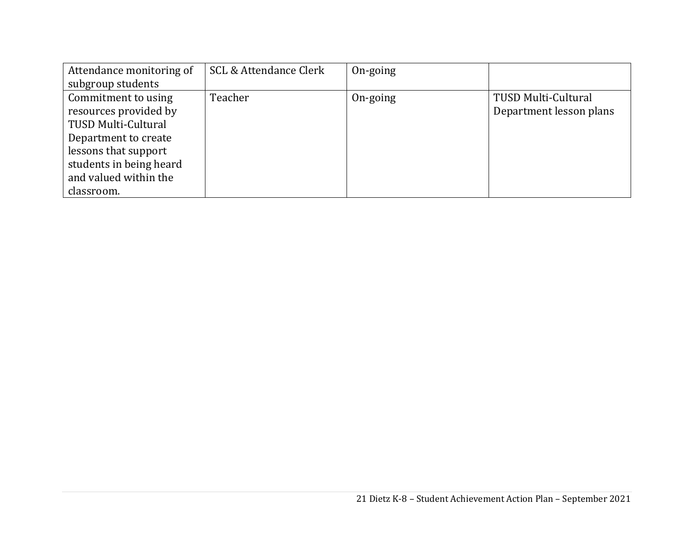| Attendance monitoring of | <b>SCL &amp; Attendance Clerk</b> | On-going |                         |
|--------------------------|-----------------------------------|----------|-------------------------|
| subgroup students        |                                   |          |                         |
| Commitment to using      | Teacher                           | On-going | TUSD Multi-Cultural     |
| resources provided by    |                                   |          | Department lesson plans |
| TUSD Multi-Cultural      |                                   |          |                         |
| Department to create     |                                   |          |                         |
| lessons that support     |                                   |          |                         |
| students in being heard  |                                   |          |                         |
| and valued within the    |                                   |          |                         |
| classroom.               |                                   |          |                         |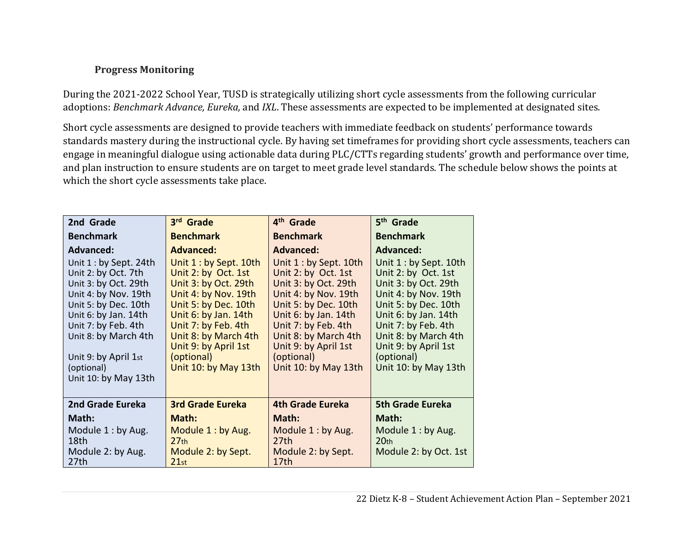### **Progress Monitoring**

During the 2021-2022 School Year, TUSD is strategically utilizing short cycle assessments from the following curricular adoptions: *Benchmark Advance, Eureka,* and *IXL*. These assessments are expected to be implemented at designated sites.

Short cycle assessments are designed to provide teachers with immediate feedback on students' performance towards standards mastery during the instructional cycle. By having set timeframes for providing short cycle assessments, teachers can engage in meaningful dialogue using actionable data during PLC/CTTs regarding students' growth and performance over time, and plan instruction to ensure students are on target to meet grade level standards. The schedule below shows the points at which the short cycle assessments take place.

| 2nd Grade                                                                                                                                                                                                                                                   | 3rd Grade                                                                                                                                                                                                                                                 | 4 <sup>th</sup> Grade                                                                                                                                                                                                                                      | 5 <sup>th</sup> Grade                                                                                                                                                                                                                                      |
|-------------------------------------------------------------------------------------------------------------------------------------------------------------------------------------------------------------------------------------------------------------|-----------------------------------------------------------------------------------------------------------------------------------------------------------------------------------------------------------------------------------------------------------|------------------------------------------------------------------------------------------------------------------------------------------------------------------------------------------------------------------------------------------------------------|------------------------------------------------------------------------------------------------------------------------------------------------------------------------------------------------------------------------------------------------------------|
| <b>Benchmark</b>                                                                                                                                                                                                                                            | <b>Benchmark</b>                                                                                                                                                                                                                                          | <b>Benchmark</b>                                                                                                                                                                                                                                           | <b>Benchmark</b>                                                                                                                                                                                                                                           |
| <b>Advanced:</b>                                                                                                                                                                                                                                            | <b>Advanced:</b>                                                                                                                                                                                                                                          | <b>Advanced:</b>                                                                                                                                                                                                                                           | <b>Advanced:</b>                                                                                                                                                                                                                                           |
| Unit $1:$ by Sept. 24th<br>Unit 2: by Oct. 7th<br>Unit 3: by Oct. 29th<br>Unit 4: by Nov. 19th<br>Unit 5: by Dec. 10th<br>Unit 6: by Jan. 14th<br>Unit 7: by Feb. 4th<br>Unit 8: by March 4th<br>Unit 9: by April 1st<br>(optional)<br>Unit 10: by May 13th | Unit 1: by Sept. 10th<br>Unit 2: by Oct. 1st<br>Unit 3: by Oct. 29th<br>Unit 4: by Nov. 19th<br>Unit 5: by Dec. 10th<br>Unit 6: by Jan. 14th<br>Unit 7: by Feb. 4th<br>Unit 8: by March 4th<br>Unit 9: by April 1st<br>(optional)<br>Unit 10: by May 13th | Unit 1 : by Sept. 10th<br>Unit 2: by Oct. 1st<br>Unit 3: by Oct. 29th<br>Unit 4: by Nov. 19th<br>Unit 5: by Dec. 10th<br>Unit 6: by Jan. 14th<br>Unit 7: by Feb. 4th<br>Unit 8: by March 4th<br>Unit 9: by April 1st<br>(optional)<br>Unit 10: by May 13th | Unit 1 : by Sept. 10th<br>Unit 2: by Oct. 1st<br>Unit 3: by Oct. 29th<br>Unit 4: by Nov. 19th<br>Unit 5: by Dec. 10th<br>Unit 6: by Jan. 14th<br>Unit 7: by Feb. 4th<br>Unit 8: by March 4th<br>Unit 9: by April 1st<br>(optional)<br>Unit 10: by May 13th |
| 2nd Grade Eureka                                                                                                                                                                                                                                            | <b>3rd Grade Eureka</b>                                                                                                                                                                                                                                   | <b>4th Grade Eureka</b>                                                                                                                                                                                                                                    | <b>5th Grade Eureka</b>                                                                                                                                                                                                                                    |
| Math:                                                                                                                                                                                                                                                       | Math:                                                                                                                                                                                                                                                     | Math:                                                                                                                                                                                                                                                      | Math:                                                                                                                                                                                                                                                      |
| Module 1: by Aug.<br>18th<br>Module 2: by Aug.<br>27th                                                                                                                                                                                                      | Module 1: by Aug.<br>27 <sub>th</sub><br>Module 2: by Sept.<br>21st                                                                                                                                                                                       | Module 1 : by Aug.<br>27th<br>Module 2: by Sept.<br>17th                                                                                                                                                                                                   | Module 1: by Aug.<br>20 <sub>th</sub><br>Module 2: by Oct. 1st                                                                                                                                                                                             |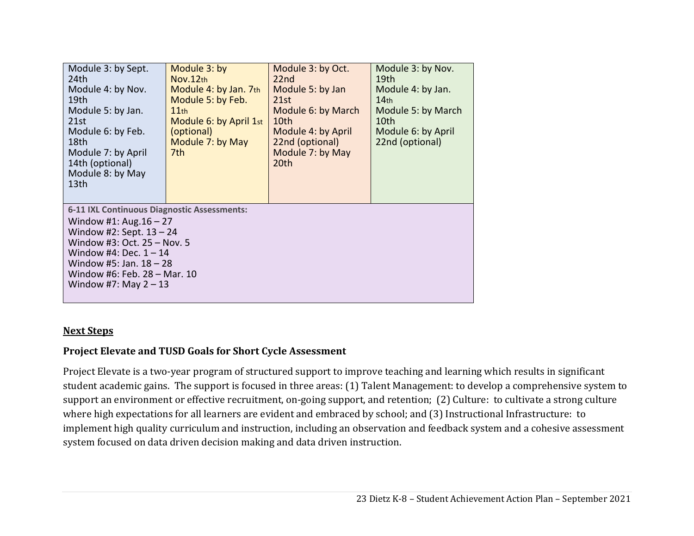| Module 3: by Sept.<br>24th<br>Module 4: by Nov.<br>19th<br>Module 5: by Jan.<br>21st<br>Module 6: by Feb.<br>18th<br>Module 7: by April<br>14th (optional)<br>Module 8: by May<br>13th                                                                   | Module 3: by<br>Nov.12th<br>Module 4: by Jan. 7th<br>Module 5: by Feb.<br>11 <sub>th</sub><br>Module 6: by April 1st<br>(optional)<br>Module 7: by May<br>7th | Module 3: by Oct.<br>22nd<br>Module 5: by Jan<br>21st<br>Module 6: by March<br>10th<br>Module 4: by April<br>22nd (optional)<br>Module 7: by May<br>20th | Module 3: by Nov.<br>19th<br>Module 4: by Jan.<br>14 <sub>th</sub><br>Module 5: by March<br>10th<br>Module 6: by April<br>22nd (optional) |  |
|----------------------------------------------------------------------------------------------------------------------------------------------------------------------------------------------------------------------------------------------------------|---------------------------------------------------------------------------------------------------------------------------------------------------------------|----------------------------------------------------------------------------------------------------------------------------------------------------------|-------------------------------------------------------------------------------------------------------------------------------------------|--|
| 6-11 IXL Continuous Diagnostic Assessments:<br>Window #1: $Aug.16 - 27$<br>Window #2: Sept. $13 - 24$<br>Window #3: Oct. 25 - Nov. 5<br>Window #4: Dec. $1 - 14$<br>Window #5: Jan. $18 - 28$<br>Window #6: Feb. 28 - Mar. 10<br>Window #7: May $2 - 13$ |                                                                                                                                                               |                                                                                                                                                          |                                                                                                                                           |  |

#### **Next Steps**

### **Project Elevate and TUSD Goals for Short Cycle Assessment**

Project Elevate is a two-year program of structured support to improve teaching and learning which results in significant student academic gains. The support is focused in three areas: (1) Talent Management: to develop a comprehensive system to support an environment or effective recruitment, on-going support, and retention; (2) Culture: to cultivate a strong culture where high expectations for all learners are evident and embraced by school; and (3) Instructional Infrastructure: to implement high quality curriculum and instruction, including an observation and feedback system and a cohesive assessment system focused on data driven decision making and data driven instruction.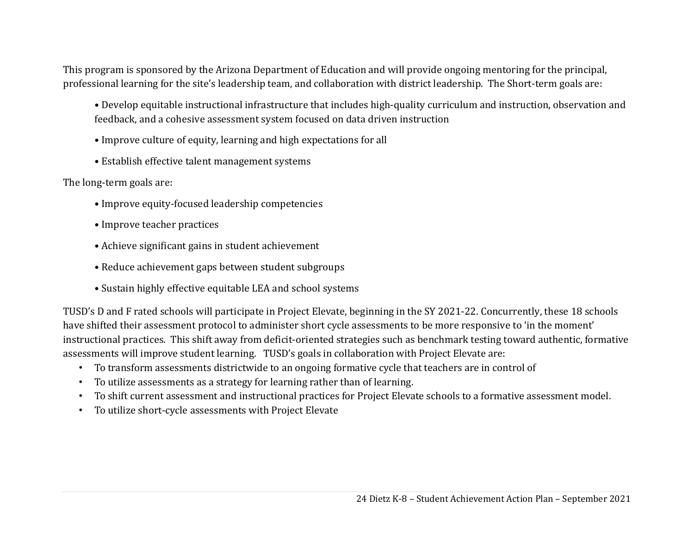This program is sponsored by the Arizona Department of Education and will provide ongoing mentoring for the principal, professional learning for the site's leadership team, and collaboration with district leadership. The Short-term goals are:

- Develop equitable instructional infrastructure that includes high-quality curriculum and instruction, observation and feedback, and a cohesive assessment system focused on data driven instruction
- Improve culture of equity, learning and high expectations for all
- Establish effective talent management systems

The long-term goals are:

- Improve equity-focused leadership competencies
- Improve teacher practices
- Achieve significant gains in student achievement
- Reduce achievement gaps between student subgroups
- Sustain highly effective equitable LEA and school systems

TUSD's D and F rated schools will participate in Project Elevate, beginning in the SY 2021-22. Concurrently, these 18 schools have shifted their assessment protocol to administer short cycle assessments to be more responsive to 'in the moment' instructional practices. This shift away from deficit-oriented strategies such as benchmark testing toward authentic, formative assessments will improve student learning. TUSD's goals in collaboration with Project Elevate are:

- To transform assessments districtwide to an ongoing formative cycle that teachers are in control of
- To utilize assessments as a strategy for learning rather than of learning.
- To shift current assessment and instructional practices for Project Elevate schools to a formative assessment model.
- To utilize short-cycle assessments with Project Elevate